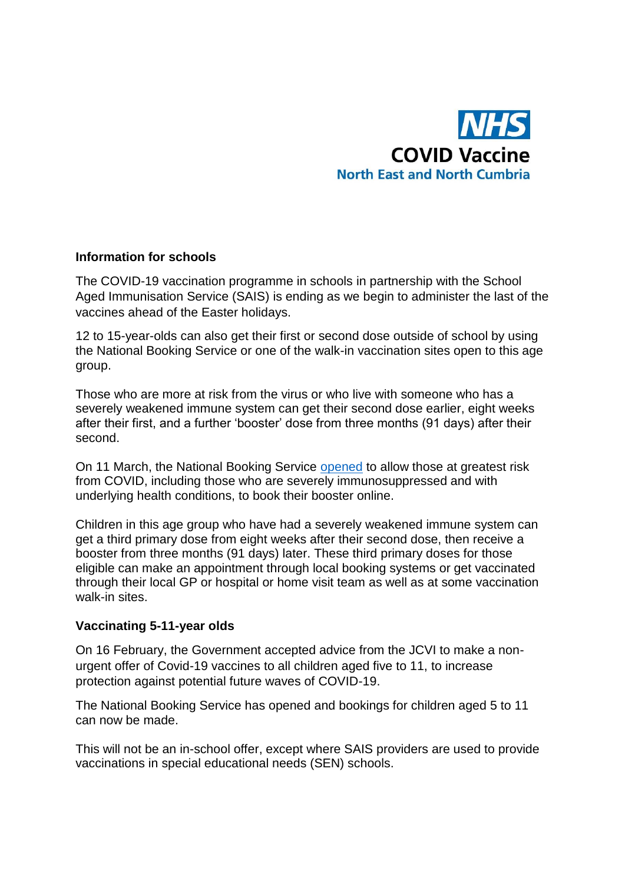

## **Information for schools**

The COVID-19 vaccination programme in schools in partnership with the School Aged Immunisation Service (SAIS) is ending as we begin to administer the last of the vaccines ahead of the Easter holidays.

12 to 15-year-olds can also get their first or second dose outside of school by using the National Booking Service or one of the walk-in vaccination sites open to this age group.

Those who are more at risk from the virus or who live with someone who has a severely weakened immune system can get their second dose earlier, eight weeks after their first, and a further 'booster' dose from three months (91 days) after their second.

On 11 March, the National Booking Service [opened](https://www.england.nhs.uk/2022/03/nhs-booster-bookings-open-for-most-vulnerable-12-to-15-year-olds/) to allow those at greatest risk from COVID, including those who are severely immunosuppressed and with underlying health conditions, to book their booster online.

Children in this age group who have had a severely weakened immune system can get a third primary dose from eight weeks after their second dose, then receive a booster from three months (91 days) later. These third primary doses for those eligible can make an appointment through local booking systems or get vaccinated through their local GP or hospital or home visit team as well as at some vaccination walk-in sites.

## **Vaccinating 5-11-year olds**

On 16 February, the Government accepted advice from the JCVI to make a nonurgent offer of Covid-19 vaccines to all children aged five to 11, to increase protection against potential future waves of COVID-19.

The National Booking Service has opened and bookings for children aged 5 to 11 can now be made.

This will not be an in-school offer, except where SAIS providers are used to provide vaccinations in special educational needs (SEN) schools.